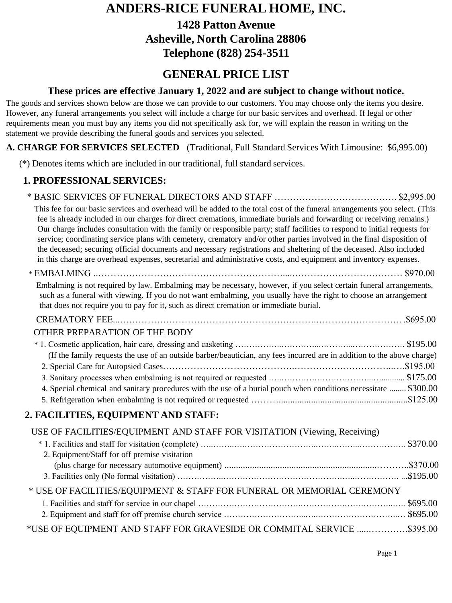# **ANDERS-RICE FUNERAL HOME, INC.**

**1428 Patton Avenue Asheville, North Carolina 28806 Telephone (828) 254-3511**

## **GENERAL PRICE LIST**

#### **These prices are effective January 1, 2022 and are subject to change without notice.**

The goods and services shown below are those we can provide to our customers. You may choose only the items you desire. However, any funeral arrangements you select will include a charge for our basic services and overhead. If legal or other requirements mean you must buy any items you did not specifically ask for, we will explain the reason in writing on the statement we provide describing the funeral goods and services you selected.

#### **A. CHARGE FOR SERVICES SELECTED** (Traditional, Full Standard Services With Limousine: \$6,995.00)

(\*) Denotes items which are included in our traditional, full standard services.

### **1. PROFESSIONAL SERVICES:**

| This fee for our basic services and overhead will be added to the total cost of the funeral arrangements you select. (This<br>fee is already included in our charges for direct cremations, immediate burials and forwarding or receiving remains.)<br>Our charge includes consultation with the family or responsible party; staff facilities to respond to initial requests for<br>service; coordinating service plans with cemetery, crematory and/or other parties involved in the final disposition of<br>the deceased; securing official documents and necessary registrations and sheltering of the deceased. Also included<br>in this charge are overhead expenses, secretarial and administrative costs, and equipment and inventory expenses. |  |
|---------------------------------------------------------------------------------------------------------------------------------------------------------------------------------------------------------------------------------------------------------------------------------------------------------------------------------------------------------------------------------------------------------------------------------------------------------------------------------------------------------------------------------------------------------------------------------------------------------------------------------------------------------------------------------------------------------------------------------------------------------|--|
|                                                                                                                                                                                                                                                                                                                                                                                                                                                                                                                                                                                                                                                                                                                                                         |  |
| Embalming is not required by law. Embalming may be necessary, however, if you select certain funeral arrangements,<br>such as a funeral with viewing. If you do not want embalming, you usually have the right to choose an arrangement<br>that does not require you to pay for it, such as direct cremation or immediate burial.                                                                                                                                                                                                                                                                                                                                                                                                                       |  |
|                                                                                                                                                                                                                                                                                                                                                                                                                                                                                                                                                                                                                                                                                                                                                         |  |
| OTHER PREPARATION OF THE BODY                                                                                                                                                                                                                                                                                                                                                                                                                                                                                                                                                                                                                                                                                                                           |  |
| (If the family requests the use of an outside barber/beautician, any fees incurred are in addition to the above charge)                                                                                                                                                                                                                                                                                                                                                                                                                                                                                                                                                                                                                                 |  |
|                                                                                                                                                                                                                                                                                                                                                                                                                                                                                                                                                                                                                                                                                                                                                         |  |
|                                                                                                                                                                                                                                                                                                                                                                                                                                                                                                                                                                                                                                                                                                                                                         |  |
| 4. Special chemical and sanitary procedures with the use of a burial pouch when conditions necessitate  \$300.00                                                                                                                                                                                                                                                                                                                                                                                                                                                                                                                                                                                                                                        |  |
|                                                                                                                                                                                                                                                                                                                                                                                                                                                                                                                                                                                                                                                                                                                                                         |  |
| 2. FACILITIES, EQUIPMENT AND STAFF:                                                                                                                                                                                                                                                                                                                                                                                                                                                                                                                                                                                                                                                                                                                     |  |
| USE OF FACILITIES/EQUIPMENT AND STAFF FOR VISITATION (Viewing, Receiving)                                                                                                                                                                                                                                                                                                                                                                                                                                                                                                                                                                                                                                                                               |  |
| 2. Equipment/Staff for off premise visitation                                                                                                                                                                                                                                                                                                                                                                                                                                                                                                                                                                                                                                                                                                           |  |
|                                                                                                                                                                                                                                                                                                                                                                                                                                                                                                                                                                                                                                                                                                                                                         |  |
|                                                                                                                                                                                                                                                                                                                                                                                                                                                                                                                                                                                                                                                                                                                                                         |  |
| * USE OF FACILITIES/EQUIPMENT & STAFF FOR FUNERAL OR MEMORIAL CEREMONY                                                                                                                                                                                                                                                                                                                                                                                                                                                                                                                                                                                                                                                                                  |  |
|                                                                                                                                                                                                                                                                                                                                                                                                                                                                                                                                                                                                                                                                                                                                                         |  |
|                                                                                                                                                                                                                                                                                                                                                                                                                                                                                                                                                                                                                                                                                                                                                         |  |
| *USE OF EQUIPMENT AND STAFF FOR GRAVESIDE OR COMMITAL SERVICE \$395.00                                                                                                                                                                                                                                                                                                                                                                                                                                                                                                                                                                                                                                                                                  |  |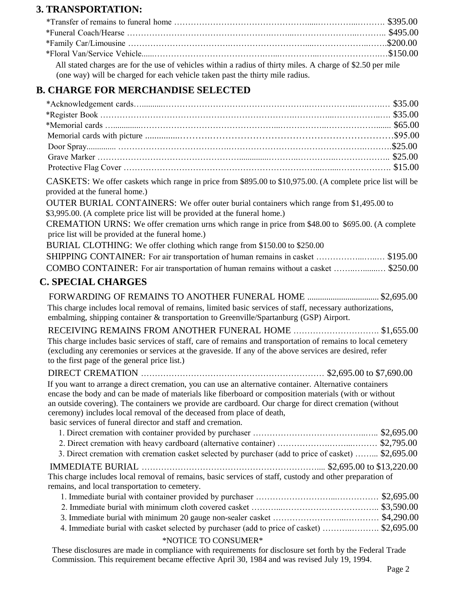#### **3. TRANSPORTATION:**

All stated charges are for the use of vehicles within a radius of thirty miles. A charge of \$2.50 per mile (one way) will be charged for each vehicle taken past the thirty mile radius.

### **B. CHARGE FOR MERCHANDISE SELECTED**

| mmol i on miliwim olol olliec i le                                                                                                                                                                   |
|------------------------------------------------------------------------------------------------------------------------------------------------------------------------------------------------------|
|                                                                                                                                                                                                      |
|                                                                                                                                                                                                      |
|                                                                                                                                                                                                      |
|                                                                                                                                                                                                      |
|                                                                                                                                                                                                      |
|                                                                                                                                                                                                      |
|                                                                                                                                                                                                      |
| CASKETS: We offer caskets which range in price from \$895.00 to \$10,975.00. (A complete price list will be<br>provided at the funeral home.)                                                        |
| OUTER BURIAL CONTAINERS: We offer outer burial containers which range from \$1,495.00 to<br>\$3,995.00. (A complete price list will be provided at the funeral home.)                                |
| CREMATION URNS: We offer cremation urns which range in price from \$48.00 to \$695.00. (A complete<br>price list will be provided at the funeral home.)                                              |
| BURIAL CLOTHING: We offer clothing which range from \$150.00 to \$250.00                                                                                                                             |
| SHIPPING CONTAINER: For air transportation of human remains in casket  \$195.00                                                                                                                      |
| COMBO CONTAINER: For air transportation of human remains without a casket  \$250.00                                                                                                                  |
| <b>C. SPECIAL CHARGES</b>                                                                                                                                                                            |
|                                                                                                                                                                                                      |
| This charge includes local removal of remains, limited basic services of staff, necessary authorizations,<br>embalming, shipping container & transportation to Greenville/Spartanburg (GSP) Airport. |
| RECEIVING REMAINS FROM ANOTHER FUNERAL HOME \$1,655.00                                                                                                                                               |
| This charge includes basic services of staff, care of remains and transportation of remains to local cemetery                                                                                        |
| (excluding any ceremonies or services at the graveside. If any of the above services are desired, refer                                                                                              |
| to the first page of the general price list.)                                                                                                                                                        |
|                                                                                                                                                                                                      |
| If you want to arrange a direct cremation, you can use an alternative container. Alternative containers                                                                                              |
| encase the body and can be made of materials like fiberboard or composition materials (with or without                                                                                               |
| an outside covering). The containers we provide are cardboard. Our charge for direct cremation (without                                                                                              |
| ceremony) includes local removal of the deceased from place of death,                                                                                                                                |
| basic services of funeral director and staff and cremation.                                                                                                                                          |
|                                                                                                                                                                                                      |
|                                                                                                                                                                                                      |

3. Direct cremation with cremation casket selected by purchaser (add to price of casket) ……... \$2,695.00

#### IMMEDIATE BURIAL ……………………………………………………….... \$2,695.00 to \$13,220.00 This charge includes local removal of remains, basic services of staff, custody and other preparation of remains, and local transportation to cemetery.

1. Immediate burial with container provided by purchaser ………………………...…………… \$2,695.00 2. Immediate burial with minimum cloth covered casket ………...…………………………….. \$3,590.00 3. Immediate burial with minimum 20 gauge non-sealer casket ……………………...………… \$4,290.00 4. Immediate burial with casket selected by purchaser (add to price of casket) ………..………. \$2,695.00

#### \*NOTICE TO CONSUMER\*

These disclosures are made in compliance with requirements for disclosure set forth by the Federal Trade Commission. This requirement became effective April 30, 1984 and was revised July 19, 1994.